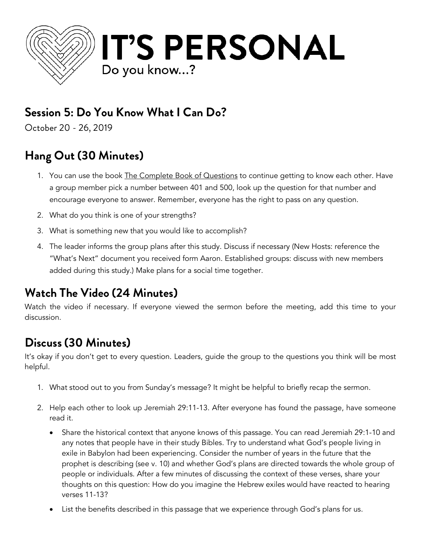

## **Session 5: Do You Know What I Can Do?**

October 20 - 26, 2019

# **Hang Out (30 Minutes)**

- 1. You can use the book <u>The Complete Book of Questions</u> to continue getting to know each other. Have a group member pick a number between 401 and 500, look up the question for that number and encourage everyone to answer. Remember, everyone has the right to pass on any question.
- 2. What do you think is one of your strengths?
- 3. What is something new that you would like to accomplish?
- 4. The leader informs the group plans after this study. Discuss if necessary (New Hosts: reference the "What's Next" document you received form Aaron. Established groups: discuss with new members added during this study.) Make plans for a social time together.

### **Watch The Video (24 Minutes)**

Watch the video if necessary. If everyone viewed the sermon before the meeting, add this time to your discussion.

## **Discuss (30 Minutes)**

It's okay if you don't get to every question. Leaders, guide the group to the questions you think will be most helpful.

- 1. What stood out to you from Sunday's message? It might be helpful to briefly recap the sermon.
- 2. Help each other to look up Jeremiah 29:11-13. After everyone has found the passage, have someone read it.
	- Share the historical context that anyone knows of this passage. You can read Jeremiah 29:1-10 and any notes that people have in their study Bibles. Try to understand what God's people living in exile in Babylon had been experiencing. Consider the number of years in the future that the prophet is describing (see v. 10) and whether God's plans are directed towards the whole group of people or individuals. After a few minutes of discussing the context of these verses, share your thoughts on this question: How do you imagine the Hebrew exiles would have reacted to hearing verses 11-13?
	- List the benefits described in this passage that we experience through God's plans for us.